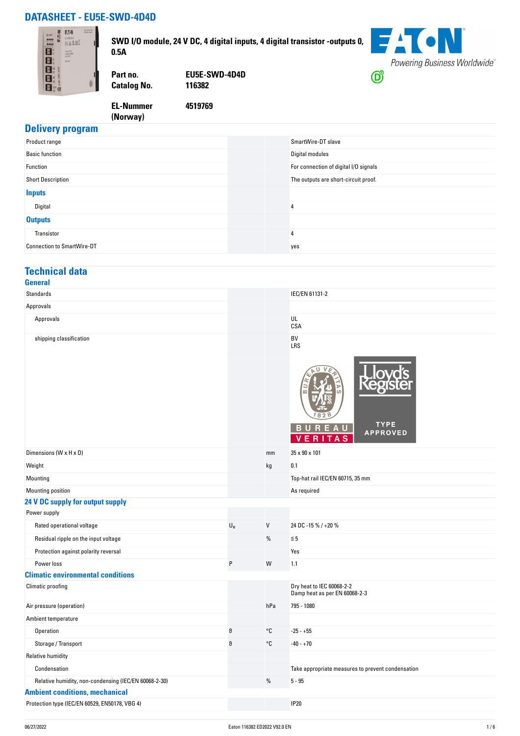## **DATASHEET - EU5E-SWD-4D4D**



**SWD I/O module, 24 V DC, 4 digital inputs, 4 digital transistor -outputs 0, 0.5A**



**Catalog No.** 

**EL-Nummer (Norway)** 

**Part no. EU5E-SWD-4D4D**

**4519769**

# **Delivery program**

| Product range                     |     | SmartWire-DT slave                    |
|-----------------------------------|-----|---------------------------------------|
| <b>Basic function</b>             |     | Digital modules                       |
| Function                          |     | For connection of digital I/O signals |
| <b>Short Description</b>          |     | The outputs are short-circuit proof.  |
| <b>Inputs</b>                     |     |                                       |
| Digital                           | 4   |                                       |
| <b>Outputs</b>                    |     |                                       |
| Transistor                        | 4   |                                       |
| <b>Connection to SmartWire-DT</b> | yes |                                       |

#### **Technical data**

| <b>General</b>          |                  |
|-------------------------|------------------|
| Standards               | IEC/EN 61131-2   |
| Approvals               |                  |
| Approvals               | UL<br><b>CSA</b> |
| shipping classification | BV<br>LRS        |

|                                                       |             |         | m<br><b>TYPE</b><br><b>APPROVED</b><br>A<br>S              |
|-------------------------------------------------------|-------------|---------|------------------------------------------------------------|
| Dimensions (W x H x D)                                |             | mm      | 35 x 90 x 101                                              |
| Weight                                                |             | kg      | 0.1                                                        |
| Mounting                                              |             |         | Top-hat rail IEC/EN 60715, 35 mm                           |
| Mounting position                                     |             |         | As required                                                |
| 24 V DC supply for output supply                      |             |         |                                                            |
| Power supply                                          |             |         |                                                            |
| Rated operational voltage                             | $U_{\rm e}$ | $\sf V$ | 24 DC -15 % / +20 %                                        |
| Residual ripple on the input voltage                  |             | %       | $\leq 5$                                                   |
| Protection against polarity reversal                  |             |         | Yes                                                        |
| Power loss                                            | P           | W       | 1.1                                                        |
| <b>Climatic environmental conditions</b>              |             |         |                                                            |
| Climatic proofing                                     |             |         | Dry heat to IEC 60068-2-2<br>Damp heat as per EN 60068-2-3 |
| Air pressure (operation)                              |             | hPa     | 795 - 1080                                                 |
| Ambient temperature                                   |             |         |                                                            |
| Operation                                             | θ           | °C      | $-25 - +55$                                                |
| Storage / Transport                                   | 8           | °C      | $-40 - +70$                                                |
| <b>Relative humidity</b>                              |             |         |                                                            |
| Condensation                                          |             |         | Take appropriate measures to prevent condensation          |
| Relative humidity, non-condensing (IEC/EN 60068-2-30) |             | %       | $5 - 95$                                                   |
| <b>Ambient conditions, mechanical</b>                 |             |         |                                                            |
| Protection type (IEC/EN 60529, EN50178, VBG 4)        |             |         | <b>IP20</b>                                                |
|                                                       |             |         |                                                            |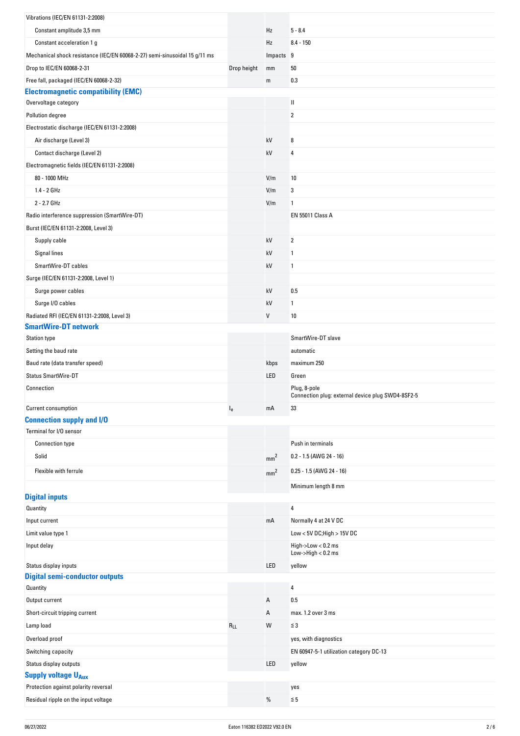| Vibrations (IEC/EN 61131-2:2008)                                                      |             |                 |                                                   |
|---------------------------------------------------------------------------------------|-------------|-----------------|---------------------------------------------------|
| Constant amplitude 3,5 mm                                                             |             | Hz              | $5 - 8.4$                                         |
| Constant acceleration 1 g                                                             |             | Hz              | $8.4 - 150$                                       |
| Mechanical shock resistance (IEC/EN 60068-2-27) semi-sinusoidal 15 g/11 ms            |             | Impacts 9       |                                                   |
|                                                                                       |             |                 |                                                   |
| Drop to IEC/EN 60068-2-31                                                             | Drop height | mm              | 50                                                |
| Free fall, packaged (IEC/EN 60068-2-32)<br><b>Electromagnetic compatibility (EMC)</b> |             | m               | 0.3                                               |
| Overvoltage category                                                                  |             |                 | Ш                                                 |
| Pollution degree                                                                      |             |                 | $\overline{2}$                                    |
| Electrostatic discharge (IEC/EN 61131-2:2008)                                         |             |                 |                                                   |
| Air discharge (Level 3)                                                               |             | kV              | 8                                                 |
| Contact discharge (Level 2)                                                           |             | kV              | 4                                                 |
| Electromagnetic fields (IEC/EN 61131-2:2008)                                          |             |                 |                                                   |
| 80 - 1000 MHz                                                                         |             | V/m             | 10                                                |
| $1.4 - 2$ GHz                                                                         |             | V/m             | 3                                                 |
| 2 - 2.7 GHz                                                                           |             | V/m             | 1                                                 |
|                                                                                       |             |                 | <b>EN 55011 Class A</b>                           |
| Radio interference suppression (SmartWire-DT)                                         |             |                 |                                                   |
| Burst (IEC/EN 61131-2:2008, Level 3)                                                  |             |                 |                                                   |
| Supply cable                                                                          |             | kV              | $\overline{2}$                                    |
| Signal lines                                                                          |             | kV              | 1                                                 |
| SmartWire-DT cables                                                                   |             | kV              | 1                                                 |
| Surge (IEC/EN 61131-2:2008, Level 1)                                                  |             |                 |                                                   |
| Surge power cables                                                                    |             | kV              | 0.5                                               |
| Surge I/O cables                                                                      |             | kV              | 1                                                 |
| Radiated RFI (IEC/EN 61131-2:2008, Level 3)<br><b>SmartWire-DT network</b>            |             | V               | 10                                                |
| <b>Station type</b>                                                                   |             |                 | SmartWire-DT slave                                |
| Setting the baud rate                                                                 |             |                 | automatic                                         |
| Baud rate (data transfer speed)                                                       |             | kbps            | maximum 250                                       |
| Status SmartWire-DT                                                                   |             | LED             | Green                                             |
| Connection                                                                            |             |                 | Plug, 8-pole                                      |
|                                                                                       |             |                 | Connection plug: external device plug SWD4-8SF2-5 |
| Current consumption                                                                   | $I_{e}$     | mA              | 33                                                |
| <b>Connection supply and I/O</b>                                                      |             |                 |                                                   |
| Terminal for I/O sensor                                                               |             |                 |                                                   |
| <b>Connection type</b>                                                                |             |                 | Push in terminals                                 |
| Solid                                                                                 |             | mm <sup>2</sup> | 0.2 - 1.5 (AWG 24 - 16)                           |
| Flexible with ferrule                                                                 |             | mm <sup>2</sup> | $0.25 - 1.5$ (AWG 24 - 16)                        |
|                                                                                       |             |                 | Minimum length 8 mm                               |
| <b>Digital inputs</b>                                                                 |             |                 |                                                   |
| Quantity                                                                              |             |                 | 4                                                 |
| Input current                                                                         |             | mA              | Normally 4 at 24 V DC                             |
| Limit value type 1                                                                    |             |                 | Low < $5V$ DC; High > 15V DC                      |
| Input delay                                                                           |             |                 | High->Low < 0.2 ms<br>$Low$ -> $High < 0.2$ ms    |
| Status display inputs                                                                 |             | LED             | yellow                                            |
| <b>Digital semi-conductor outputs</b>                                                 |             |                 |                                                   |
| Quantity                                                                              |             |                 | $\overline{4}$                                    |
| Output current                                                                        |             | Α               | 0.5                                               |
| Short-circuit tripping current                                                        |             | Α               | max. 1.2 over 3 ms                                |
| Lamp load                                                                             | $R_{LL}$    | W               | $\leq 3$                                          |
| Overload proof                                                                        |             |                 | yes, with diagnostics                             |
| Switching capacity                                                                    |             |                 | EN 60947-5-1 utilization category DC-13           |
| Status display outputs                                                                |             | LED             | yellow                                            |
| <b>Supply voltage UAux</b>                                                            |             |                 |                                                   |
| Protection against polarity reversal                                                  |             |                 | yes                                               |
| Residual ripple on the input voltage                                                  |             | $\%$            | $\leq 5$                                          |
|                                                                                       |             |                 |                                                   |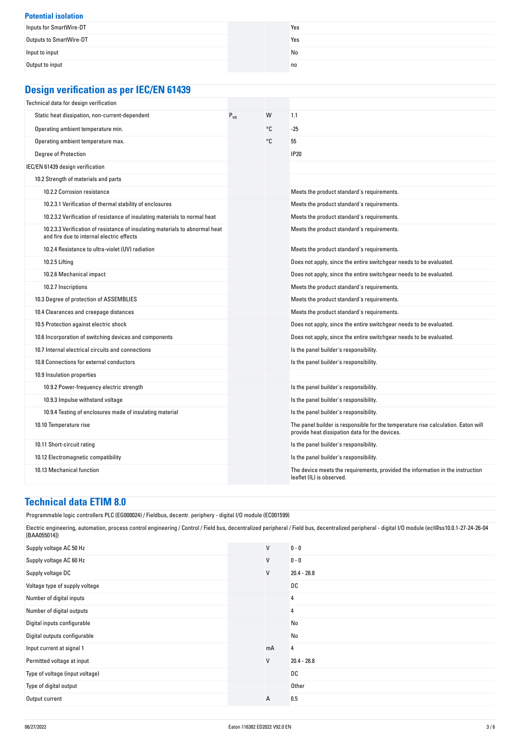| <b>Potential isolation</b> |                |
|----------------------------|----------------|
| Inputs for SmartWire-DT    | Yes            |
| Outputs to SmartWire-DT    | Yes            |
| Input to input             | No             |
| Output to input            | n <sub>0</sub> |

# **Design verification as per IEC/EN 61439**

| Technical data for design verification                                                                                    |          |    |                                                                                                                                     |
|---------------------------------------------------------------------------------------------------------------------------|----------|----|-------------------------------------------------------------------------------------------------------------------------------------|
| Static heat dissipation, non-current-dependent                                                                            | $P_{VS}$ | W  | 1.1                                                                                                                                 |
| Operating ambient temperature min.                                                                                        |          | °C | $-25$                                                                                                                               |
| Operating ambient temperature max.                                                                                        |          | °C | 55                                                                                                                                  |
| <b>Degree of Protection</b>                                                                                               |          |    | <b>IP20</b>                                                                                                                         |
| IEC/EN 61439 design verification                                                                                          |          |    |                                                                                                                                     |
| 10.2 Strength of materials and parts                                                                                      |          |    |                                                                                                                                     |
| 10.2.2 Corrosion resistance                                                                                               |          |    | Meets the product standard's requirements.                                                                                          |
| 10.2.3.1 Verification of thermal stability of enclosures                                                                  |          |    | Meets the product standard's requirements.                                                                                          |
| 10.2.3.2 Verification of resistance of insulating materials to normal heat                                                |          |    | Meets the product standard's requirements.                                                                                          |
| 10.2.3.3 Verification of resistance of insulating materials to abnormal heat<br>and fire due to internal electric effects |          |    | Meets the product standard's requirements.                                                                                          |
| 10.2.4 Resistance to ultra-violet (UV) radiation                                                                          |          |    | Meets the product standard's requirements.                                                                                          |
| 10.2.5 Lifting                                                                                                            |          |    | Does not apply, since the entire switchgear needs to be evaluated.                                                                  |
| 10.2.6 Mechanical impact                                                                                                  |          |    | Does not apply, since the entire switchgear needs to be evaluated.                                                                  |
| 10.2.7 Inscriptions                                                                                                       |          |    | Meets the product standard's requirements.                                                                                          |
| 10.3 Degree of protection of ASSEMBLIES                                                                                   |          |    | Meets the product standard's requirements.                                                                                          |
| 10.4 Clearances and creepage distances                                                                                    |          |    | Meets the product standard's requirements.                                                                                          |
| 10.5 Protection against electric shock                                                                                    |          |    | Does not apply, since the entire switchgear needs to be evaluated.                                                                  |
| 10.6 Incorporation of switching devices and components                                                                    |          |    | Does not apply, since the entire switchgear needs to be evaluated.                                                                  |
| 10.7 Internal electrical circuits and connections                                                                         |          |    | Is the panel builder's responsibility.                                                                                              |
| 10.8 Connections for external conductors                                                                                  |          |    | Is the panel builder's responsibility.                                                                                              |
| 10.9 Insulation properties                                                                                                |          |    |                                                                                                                                     |
| 10.9.2 Power-frequency electric strength                                                                                  |          |    | Is the panel builder's responsibility.                                                                                              |
| 10.9.3 Impulse withstand voltage                                                                                          |          |    | Is the panel builder's responsibility.                                                                                              |
| 10.9.4 Testing of enclosures made of insulating material                                                                  |          |    | Is the panel builder's responsibility.                                                                                              |
| 10.10 Temperature rise                                                                                                    |          |    | The panel builder is responsible for the temperature rise calculation. Eaton will<br>provide heat dissipation data for the devices. |
| 10.11 Short-circuit rating                                                                                                |          |    | Is the panel builder's responsibility.                                                                                              |
| 10.12 Electromagnetic compatibility                                                                                       |          |    | Is the panel builder's responsibility.                                                                                              |
| 10.13 Mechanical function                                                                                                 |          |    | The device meets the requirements, provided the information in the instruction<br>leaflet (IL) is observed.                         |

# **Technical data ETIM 8.0**

| Programmable logic controllers PLC (EG000024) / Fieldbus, decentr. periphery - digital I/O module (EC001599)                                                                                                       |              |               |
|--------------------------------------------------------------------------------------------------------------------------------------------------------------------------------------------------------------------|--------------|---------------|
| Electric engineering, automation, process control engineering / Control / Field bus, decentralized peripheral / Field bus, decentralized peripheral - digital I/O module (ecl@ss10.0.1-27-24-26-04<br>[BAA055014]) |              |               |
| Supply voltage AC 50 Hz                                                                                                                                                                                            | $\mathsf{V}$ | $0 - 0$       |
| Supply voltage AC 60 Hz                                                                                                                                                                                            | V            | $0 - 0$       |
| Supply voltage DC                                                                                                                                                                                                  | V            | $20.4 - 28.8$ |
| Voltage type of supply voltage                                                                                                                                                                                     |              | DC            |
| Number of digital inputs                                                                                                                                                                                           |              | 4             |
| Number of digital outputs                                                                                                                                                                                          |              | 4             |
| Digital inputs configurable                                                                                                                                                                                        |              | No            |
| Digital outputs configurable                                                                                                                                                                                       |              | No            |
| Input current at signal 1                                                                                                                                                                                          | mA           | 4             |
| Permitted voltage at input                                                                                                                                                                                         | V            | $20.4 - 28.8$ |
| Type of voltage (input voltage)                                                                                                                                                                                    |              | DC            |
| Type of digital output                                                                                                                                                                                             |              | Other         |
| Output current                                                                                                                                                                                                     | Α            | 0.5           |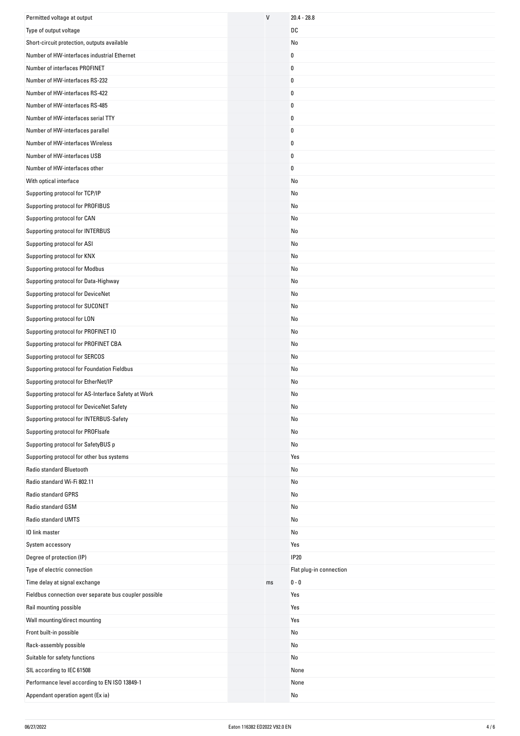| Permitted voltage at output                                                        | $\mathsf{V}$ | $20.4 - 28.8$           |
|------------------------------------------------------------------------------------|--------------|-------------------------|
| Type of output voltage                                                             |              | DC                      |
| Short-circuit protection, outputs available                                        |              | No                      |
| Number of HW-interfaces industrial Ethernet                                        |              | 0                       |
| Number of interfaces PROFINET                                                      |              | 0                       |
| Number of HW-interfaces RS-232                                                     |              | 0                       |
| Number of HW-interfaces RS-422                                                     |              | 0                       |
| Number of HW-interfaces RS-485                                                     |              | 0                       |
| Number of HW-interfaces serial TTY                                                 |              | 0                       |
| Number of HW-interfaces parallel                                                   |              | 0                       |
| Number of HW-interfaces Wireless                                                   |              | 0                       |
| Number of HW-interfaces USB                                                        |              | 0                       |
| Number of HW-interfaces other                                                      |              | 0                       |
| With optical interface                                                             |              | No                      |
| Supporting protocol for TCP/IP                                                     |              | No                      |
| Supporting protocol for PROFIBUS                                                   |              | No                      |
| Supporting protocol for CAN                                                        |              | No                      |
| Supporting protocol for INTERBUS                                                   |              | No                      |
| Supporting protocol for ASI                                                        |              | No                      |
| Supporting protocol for KNX                                                        |              | No                      |
| Supporting protocol for Modbus                                                     |              | No                      |
| Supporting protocol for Data-Highway                                               |              | No                      |
| Supporting protocol for DeviceNet                                                  |              | No                      |
| Supporting protocol for SUCONET                                                    |              | No                      |
| Supporting protocol for LON                                                        |              | No                      |
| Supporting protocol for PROFINET IO                                                |              | No                      |
| Supporting protocol for PROFINET CBA                                               |              | No                      |
| Supporting protocol for SERCOS                                                     |              |                         |
|                                                                                    |              | No                      |
| Supporting protocol for Foundation Fieldbus<br>Supporting protocol for EtherNet/IP |              | No<br>No                |
| Supporting protocol for AS-Interface Safety at Work                                |              |                         |
|                                                                                    |              | No                      |
| Supporting protocol for DeviceNet Safety                                           |              | No                      |
| Supporting protocol for INTERBUS-Safety                                            |              | No                      |
| Supporting protocol for PROFIsafe                                                  |              | No                      |
| Supporting protocol for SafetyBUS p                                                |              | No                      |
| Supporting protocol for other bus systems                                          |              | Yes                     |
| Radio standard Bluetooth                                                           |              | No                      |
| Radio standard Wi-Fi 802.11                                                        |              | No                      |
| <b>Radio standard GPRS</b>                                                         |              | No                      |
| Radio standard GSM                                                                 |              | No                      |
| Radio standard UMTS                                                                |              | No                      |
| 10 link master                                                                     |              | No                      |
| System accessory                                                                   |              | Yes                     |
| Degree of protection (IP)                                                          |              | <b>IP20</b>             |
| Type of electric connection                                                        |              | Flat plug-in connection |
| Time delay at signal exchange                                                      | ms           | $0 - 0$                 |
| Fieldbus connection over separate bus coupler possible                             |              | Yes                     |
| Rail mounting possible                                                             |              | Yes                     |
| Wall mounting/direct mounting                                                      |              | Yes                     |
| Front built-in possible                                                            |              | No                      |
| Rack-assembly possible                                                             |              | No                      |
| Suitable for safety functions                                                      |              | No                      |
| SIL according to IEC 61508                                                         |              | None                    |
| Performance level according to EN ISO 13849-1                                      |              | None                    |
| Appendant operation agent (Ex ia)                                                  |              | No                      |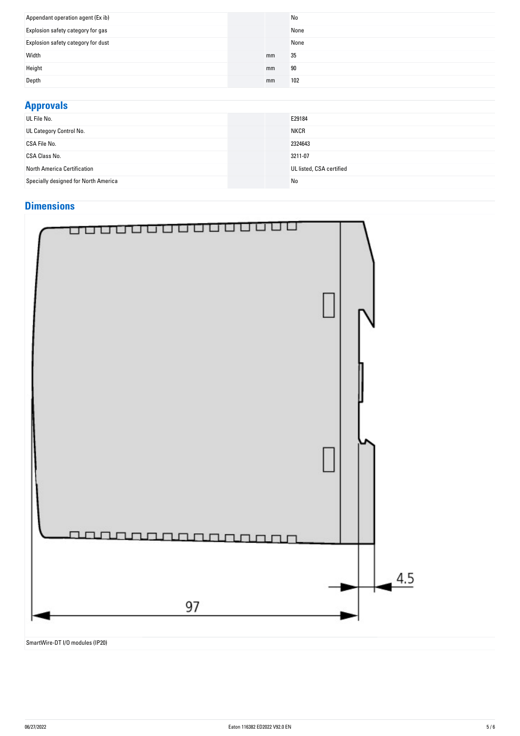| Appendant operation agent (Ex ib)  |    | No   |
|------------------------------------|----|------|
| Explosion safety category for gas  |    | None |
| Explosion safety category for dust |    | None |
| Width                              | mm | 35   |
| Height                             | mm | 90   |
| Depth                              | mm | 102  |

### **Approvals** UL FIIE NO. E29184 **UL Category Control No.** NKCR CSA File No. 2324643 CSA Class No. 3211-07 North America Certification UL listed, CSA certified Specially designed for North America No Control and Specially designed for North America

### **Dimensions**